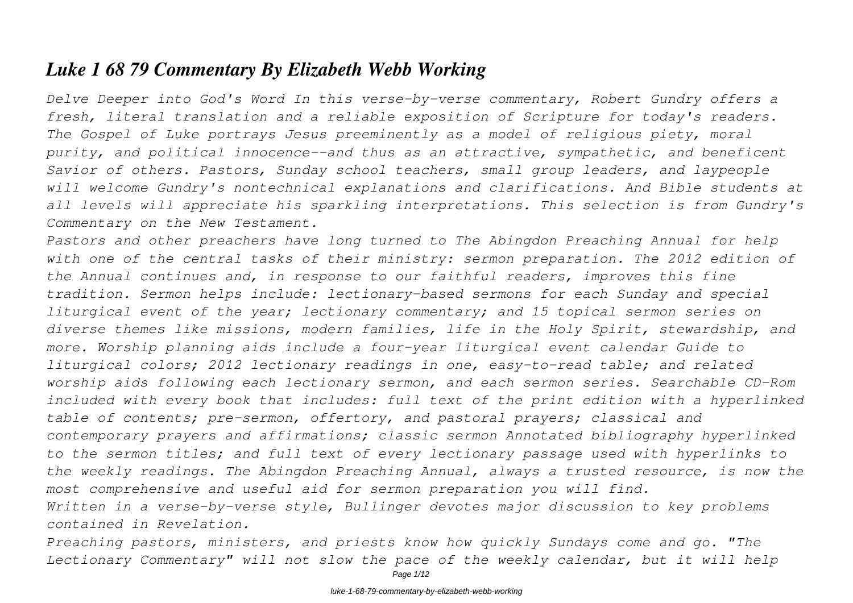# *Luke 1 68 79 Commentary By Elizabeth Webb Working*

*Delve Deeper into God's Word In this verse-by-verse commentary, Robert Gundry offers a fresh, literal translation and a reliable exposition of Scripture for today's readers. The Gospel of Luke portrays Jesus preeminently as a model of religious piety, moral purity, and political innocence--and thus as an attractive, sympathetic, and beneficent Savior of others. Pastors, Sunday school teachers, small group leaders, and laypeople will welcome Gundry's nontechnical explanations and clarifications. And Bible students at all levels will appreciate his sparkling interpretations. This selection is from Gundry's Commentary on the New Testament.*

*Pastors and other preachers have long turned to The Abingdon Preaching Annual for help with one of the central tasks of their ministry: sermon preparation. The 2012 edition of the Annual continues and, in response to our faithful readers, improves this fine tradition. Sermon helps include: lectionary-based sermons for each Sunday and special liturgical event of the year; lectionary commentary; and 15 topical sermon series on diverse themes like missions, modern families, life in the Holy Spirit, stewardship, and more. Worship planning aids include a four-year liturgical event calendar Guide to liturgical colors; 2012 lectionary readings in one, easy-to-read table; and related worship aids following each lectionary sermon, and each sermon series. Searchable CD-Rom included with every book that includes: full text of the print edition with a hyperlinked table of contents; pre-sermon, offertory, and pastoral prayers; classical and contemporary prayers and affirmations; classic sermon Annotated bibliography hyperlinked to the sermon titles; and full text of every lectionary passage used with hyperlinks to the weekly readings. The Abingdon Preaching Annual, always a trusted resource, is now the most comprehensive and useful aid for sermon preparation you will find. Written in a verse-by-verse style, Bullinger devotes major discussion to key problems contained in Revelation.*

*Preaching pastors, ministers, and priests know how quickly Sundays come and go. "The Lectionary Commentary" will not slow the pace of the weekly calendar, but it will help*

Page  $1/12$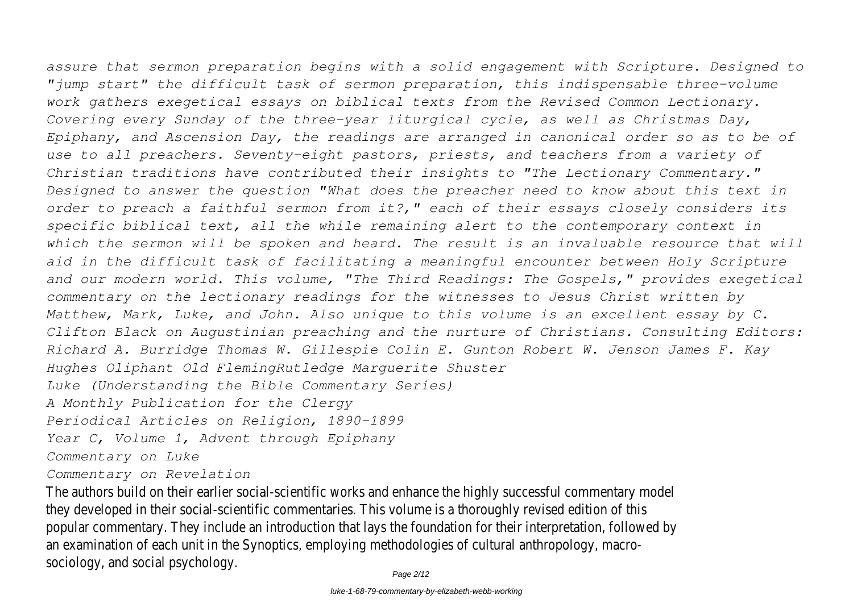*assure that sermon preparation begins with a solid engagement with Scripture. Designed to "jump start" the difficult task of sermon preparation, this indispensable three-volume work gathers exegetical essays on biblical texts from the Revised Common Lectionary. Covering every Sunday of the three-year liturgical cycle, as well as Christmas Day, Epiphany, and Ascension Day, the readings are arranged in canonical order so as to be of use to all preachers. Seventy-eight pastors, priests, and teachers from a variety of Christian traditions have contributed their insights to "The Lectionary Commentary." Designed to answer the question "What does the preacher need to know about this text in order to preach a faithful sermon from it?," each of their essays closely considers its specific biblical text, all the while remaining alert to the contemporary context in* which the sermon will be spoken and heard. The result is an invaluable resource that will *aid in the difficult task of facilitating a meaningful encounter between Holy Scripture and our modern world. This volume, "The Third Readings: The Gospels," provides exegetical commentary on the lectionary readings for the witnesses to Jesus Christ written by Matthew, Mark, Luke, and John. Also unique to this volume is an excellent essay by C. Clifton Black on Augustinian preaching and the nurture of Christians. Consulting Editors: Richard A. Burridge Thomas W. Gillespie Colin E. Gunton Robert W. Jenson James F. Kay*

*Hughes Oliphant Old FlemingRutledge Marguerite Shuster*

*Luke (Understanding the Bible Commentary Series)*

*A Monthly Publication for the Clergy*

*Periodical Articles on Religion, 1890-1899*

*Year C, Volume 1, Advent through Epiphany*

*Commentary on Luke*

*Commentary on Revelation*

The authors build on their earlier social-scientific works and enhance the highly successful commentary model they developed in their social-scientific commentaries. This volume is a thoroughly revised edition of this popular commentary. They include an introduction that lays the foundation for their interpretation, followed by an examination of each unit in the Synoptics, employing methodologies of cultural anthropology, macrosociology, and social psychology.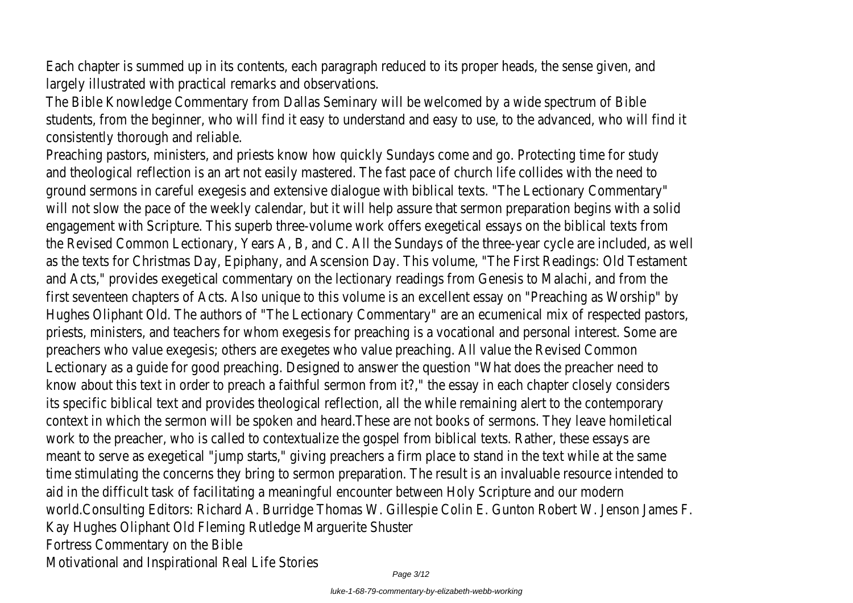Each chapter is summed up in its contents, each paragraph reduced to its proper heads, the sense given, and largely illustrated with practical remarks and observations.

The Bible Knowledge Commentary from Dallas Seminary will be welcomed by a wide spectrum of Bible students, from the beginner, who will find it easy to understand and easy to use, to the advanced, who will find it consistently thorough and reliable.

Preaching pastors, ministers, and priests know how quickly Sundays come and go. Protecting time for study and theological reflection is an art not easily mastered. The fast pace of church life collides with the need to ground sermons in careful exegesis and extensive dialogue with biblical texts. "The Lectionary Commentary" will not slow the pace of the weekly calendar, but it will help assure that sermon preparation begins with a solid engagement with Scripture. This superb three-volume work offers exegetical essays on the biblical texts from the Revised Common Lectionary, Years A, B, and C. All the Sundays of the three-year cycle are included, as well as the texts for Christmas Day, Epiphany, and Ascension Day. This volume, "The First Readings: Old Testament and Acts," provides exegetical commentary on the lectionary readings from Genesis to Malachi, and from the first seventeen chapters of Acts. Also unique to this volume is an excellent essay on "Preaching as Worship" by Hughes Oliphant Old. The authors of "The Lectionary Commentary" are an ecumenical mix of respected pastors, priests, ministers, and teachers for whom exegesis for preaching is a vocational and personal interest. Some are preachers who value exegesis; others are exegetes who value preaching. All value the Revised Common Lectionary as a guide for good preaching. Designed to answer the question "What does the preacher need to know about this text in order to preach a faithful sermon from it?," the essay in each chapter closely considers its specific biblical text and provides theological reflection, all the while remaining alert to the contemporary context in which the sermon will be spoken and heard.These are not books of sermons. They leave homiletical work to the preacher, who is called to contextualize the gospel from biblical texts. Rather, these essays are meant to serve as exegetical "jump starts," giving preachers a firm place to stand in the text while at the same time stimulating the concerns they bring to sermon preparation. The result is an invaluable resource intended to aid in the difficult task of facilitating a meaningful encounter between Holy Scripture and our modern world.Consulting Editors: Richard A. Burridge Thomas W. Gillespie Colin E. Gunton Robert W. Jenson James F. Kay Hughes Oliphant Old Fleming Rutledge Marguerite Shuster Fortress Commentary on the Bible Motivational and Inspirational Real Life Stories Page 3/12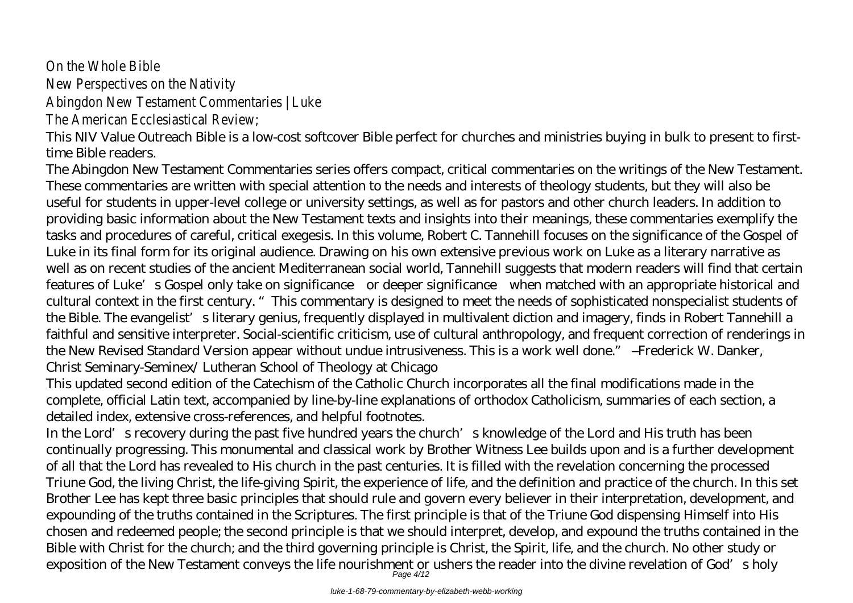# On the Whole Bible

New Perspectives on the Nativity

Abingdon New Testament Commentaries | Luke

The American Ecclesiastical Review;

This NIV Value Outreach Bible is a low-cost softcover Bible perfect for churches and ministries buying in bulk to present to firsttime Bible readers.

The Abingdon New Testament Commentaries series offers compact, critical commentaries on the writings of the New Testament. These commentaries are written with special attention to the needs and interests of theology students, but they will also be useful for students in upper-level college or university settings, as well as for pastors and other church leaders. In addition to providing basic information about the New Testament texts and insights into their meanings, these commentaries exemplify the tasks and procedures of careful, critical exegesis. In this volume, Robert C. Tannehill focuses on the significance of the Gospel of Luke in its final form for its original audience. Drawing on his own extensive previous work on Luke as a literary narrative as well as on recent studies of the ancient Mediterranean social world, Tannehill suggests that modern readers will find that certain features of Luke's Gospel only take on significance—or deeper significance—when matched with an appropriate historical and cultural context in the first century. "This commentary is designed to meet the needs of sophisticated nonspecialist students of the Bible. The evangelist's literary genius, frequently displayed in multivalent diction and imagery, finds in Robert Tannehill a faithful and sensitive interpreter. Social-scientific criticism, use of cultural anthropology, and frequent correction of renderings in the New Revised Standard Version appear without undue intrusiveness. This is a work well done." –Frederick W. Danker, Christ Seminary-Seminex/ Lutheran School of Theology at Chicago

This updated second edition of the Catechism of the Catholic Church incorporates all the final modifications made in the complete, official Latin text, accompanied by line-by-line explanations of orthodox Catholicism, summaries of each section, a detailed index, extensive cross-references, and helpful footnotes.

In the Lord's recovery during the past five hundred years the church's knowledge of the Lord and His truth has been continually progressing. This monumental and classical work by Brother Witness Lee builds upon and is a further development of all that the Lord has revealed to His church in the past centuries. It is filled with the revelation concerning the processed Triune God, the living Christ, the life-giving Spirit, the experience of life, and the definition and practice of the church. In this set Brother Lee has kept three basic principles that should rule and govern every believer in their interpretation, development, and expounding of the truths contained in the Scriptures. The first principle is that of the Triune God dispensing Himself into His chosen and redeemed people; the second principle is that we should interpret, develop, and expound the truths contained in the Bible with Christ for the church; and the third governing principle is Christ, the Spirit, life, and the church. No other study or exposition of the New Testament conveys the life nourishment or ushers the reader into the divine revelation of God's holy

luke-1-68-79-commentary-by-elizabeth-webb-working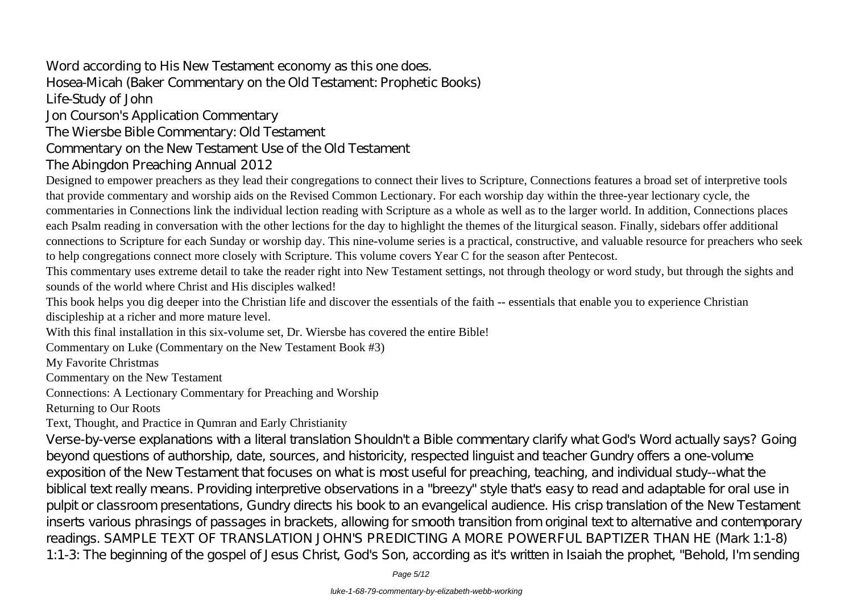# Word according to His New Testament economy as this one does. Hosea-Micah (Baker Commentary on the Old Testament: Prophetic Books) Life-Study of John Jon Courson's Application Commentary

# The Wiersbe Bible Commentary: Old Testament Commentary on the New Testament Use of the Old Testament

# The Abingdon Preaching Annual 2012

Designed to empower preachers as they lead their congregations to connect their lives to Scripture, Connections features a broad set of interpretive tools that provide commentary and worship aids on the Revised Common Lectionary. For each worship day within the three-year lectionary cycle, the commentaries in Connections link the individual lection reading with Scripture as a whole as well as to the larger world. In addition, Connections places each Psalm reading in conversation with the other lections for the day to highlight the themes of the liturgical season. Finally, sidebars offer additional connections to Scripture for each Sunday or worship day. This nine-volume series is a practical, constructive, and valuable resource for preachers who seek to help congregations connect more closely with Scripture. This volume covers Year C for the season after Pentecost.

This commentary uses extreme detail to take the reader right into New Testament settings, not through theology or word study, but through the sights and sounds of the world where Christ and His disciples walked!

This book helps you dig deeper into the Christian life and discover the essentials of the faith -- essentials that enable you to experience Christian discipleship at a richer and more mature level.

With this final installation in this six-volume set. Dr. Wiersbe has covered the entire Bible!

Commentary on Luke (Commentary on the New Testament Book #3)

My Favorite Christmas

Commentary on the New Testament

Connections: A Lectionary Commentary for Preaching and Worship

Returning to Our Roots

# Text, Thought, and Practice in Qumran and Early Christianity

Verse-by-verse explanations with a literal translation Shouldn't a Bible commentary clarify what God's Word actually says? Going beyond questions of authorship, date, sources, and historicity, respected linguist and teacher Gundry offers a one-volume exposition of the New Testament that focuses on what is most useful for preaching, teaching, and individual study--what the biblical text really means. Providing interpretive observations in a "breezy" style that's easy to read and adaptable for oral use in pulpit or classroom presentations, Gundry directs his book to an evangelical audience. His crisp translation of the New Testament inserts various phrasings of passages in brackets, allowing for smooth transition from original text to alternative and contemporary readings. SAMPLE TEXT OF TRANSLATION JOHN'S PREDICTING A MORE POWERFUL BAPTIZER THAN HE (Mark 1:1-8) 1:1-3: The beginning of the gospel of Jesus Christ, God's Son, according as it's written in Isaiah the prophet, "Behold, I'm sending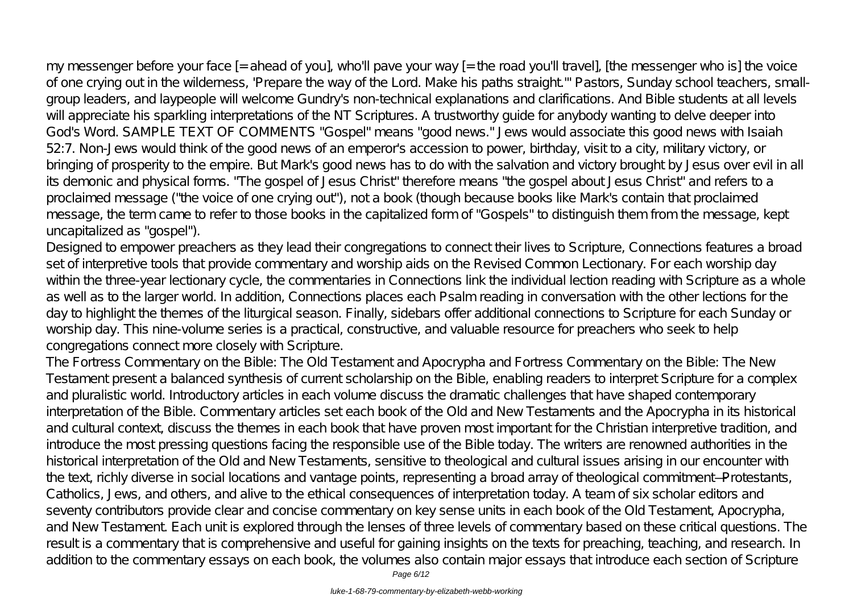my messenger before your face [= ahead of you], who'll pave your way [= the road you'll travel], [the messenger who is] the voice of one crying out in the wilderness, 'Prepare the way of the Lord. Make his paths straight.'" Pastors, Sunday school teachers, smallgroup leaders, and laypeople will welcome Gundry's non-technical explanations and clarifications. And Bible students at all levels will appreciate his sparkling interpretations of the NT Scriptures. A trustworthy quide for anybody wanting to delve deeper into God's Word. SAMPLE TEXT OF COMMENTS "Gospel" means "good news." Jews would associate this good news with Isaiah 52:7. Non-Jews would think of the good news of an emperor's accession to power, birthday, visit to a city, military victory, or bringing of prosperity to the empire. But Mark's good news has to do with the salvation and victory brought by Jesus over evil in all its demonic and physical forms. "The gospel of Jesus Christ" therefore means "the gospel about Jesus Christ" and refers to a proclaimed message ("the voice of one crying out"), not a book (though because books like Mark's contain that proclaimed message, the term came to refer to those books in the capitalized form of "Gospels" to distinguish them from the message, kept uncapitalized as "gospel").

Designed to empower preachers as they lead their congregations to connect their lives to Scripture, Connections features a broad set of interpretive tools that provide commentary and worship aids on the Revised Common Lectionary. For each worship day within the three-year lectionary cycle, the commentaries in Connections link the individual lection reading with Scripture as a whole as well as to the larger world. In addition, Connections places each Psalm reading in conversation with the other lections for the day to highlight the themes of the liturgical season. Finally, sidebars offer additional connections to Scripture for each Sunday or worship day. This nine-volume series is a practical, constructive, and valuable resource for preachers who seek to help congregations connect more closely with Scripture.

The Fortress Commentary on the Bible: The Old Testament and Apocrypha and Fortress Commentary on the Bible: The New Testament present a balanced synthesis of current scholarship on the Bible, enabling readers to interpret Scripture for a complex and pluralistic world. Introductory articles in each volume discuss the dramatic challenges that have shaped contemporary interpretation of the Bible. Commentary articles set each book of the Old and New Testaments and the Apocrypha in its historical and cultural context, discuss the themes in each book that have proven most important for the Christian interpretive tradition, and introduce the most pressing questions facing the responsible use of the Bible today. The writers are renowned authorities in the historical interpretation of the Old and New Testaments, sensitive to theological and cultural issues arising in our encounter with the text, richly diverse in social locations and vantage points, representing a broad array of theological commitment—Protestants, Catholics, Jews, and others, and alive to the ethical consequences of interpretation today. A team of six scholar editors and seventy contributors provide clear and concise commentary on key sense units in each book of the Old Testament, Apocrypha, and New Testament. Each unit is explored through the lenses of three levels of commentary based on these critical questions. The result is a commentary that is comprehensive and useful for gaining insights on the texts for preaching, teaching, and research. In addition to the commentary essays on each book, the volumes also contain major essays that introduce each section of Scripture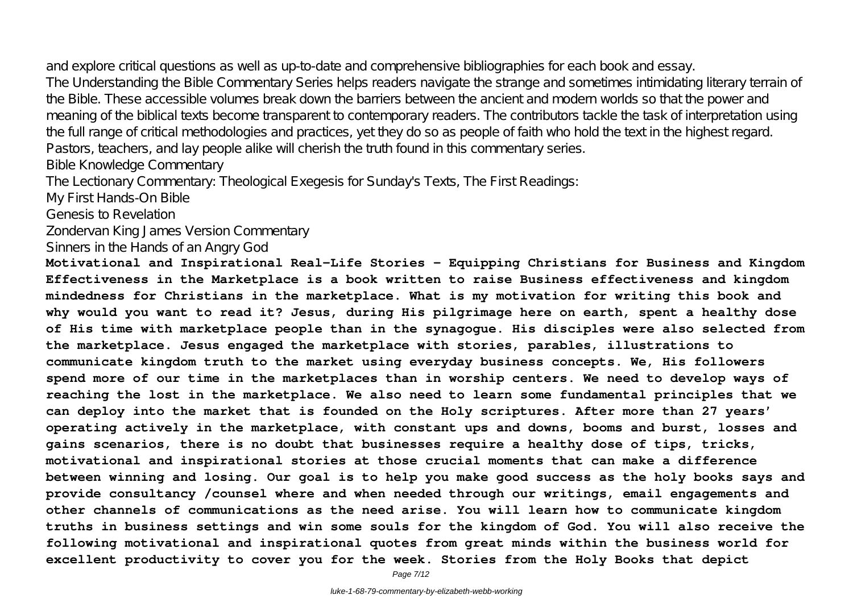and explore critical questions as well as up-to-date and comprehensive bibliographies for each book and essay.

The Understanding the Bible Commentary Series helps readers navigate the strange and sometimes intimidating literary terrain of the Bible. These accessible volumes break down the barriers between the ancient and modern worlds so that the power and meaning of the biblical texts become transparent to contemporary readers. The contributors tackle the task of interpretation using the full range of critical methodologies and practices, yet they do so as people of faith who hold the text in the highest regard. Pastors, teachers, and lay people alike will cherish the truth found in this commentary series.

Bible Knowledge Commentary

The Lectionary Commentary: Theological Exegesis for Sunday's Texts, The First Readings:

My First Hands-On Bible

Genesis to Revelation

Zondervan King James Version Commentary

Sinners in the Hands of an Angry God

**Motivational and Inspirational Real-Life Stories – Equipping Christians for Business and Kingdom Effectiveness in the Marketplace is a book written to raise Business effectiveness and kingdom mindedness for Christians in the marketplace. What is my motivation for writing this book and why would you want to read it? Jesus, during His pilgrimage here on earth, spent a healthy dose of His time with marketplace people than in the synagogue. His disciples were also selected from the marketplace. Jesus engaged the marketplace with stories, parables, illustrations to communicate kingdom truth to the market using everyday business concepts. We, His followers spend more of our time in the marketplaces than in worship centers. We need to develop ways of reaching the lost in the marketplace. We also need to learn some fundamental principles that we can deploy into the market that is founded on the Holy scriptures. After more than 27 years' operating actively in the marketplace, with constant ups and downs, booms and burst, losses and gains scenarios, there is no doubt that businesses require a healthy dose of tips, tricks, motivational and inspirational stories at those crucial moments that can make a difference between winning and losing. Our goal is to help you make good success as the holy books says and provide consultancy /counsel where and when needed through our writings, email engagements and other channels of communications as the need arise. You will learn how to communicate kingdom truths in business settings and win some souls for the kingdom of God. You will also receive the following motivational and inspirational quotes from great minds within the business world for excellent productivity to cover you for the week. Stories from the Holy Books that depict**

Page 7/12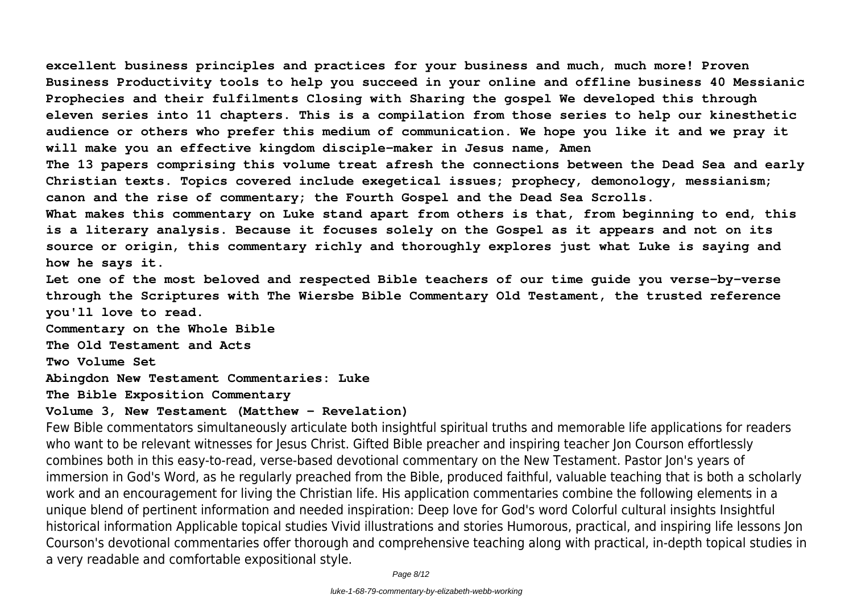**excellent business principles and practices for your business and much, much more! Proven Business Productivity tools to help you succeed in your online and offline business 40 Messianic Prophecies and their fulfilments Closing with Sharing the gospel We developed this through eleven series into 11 chapters. This is a compilation from those series to help our kinesthetic audience or others who prefer this medium of communication. We hope you like it and we pray it will make you an effective kingdom disciple-maker in Jesus name, Amen**

**The 13 papers comprising this volume treat afresh the connections between the Dead Sea and early Christian texts. Topics covered include exegetical issues; prophecy, demonology, messianism; canon and the rise of commentary; the Fourth Gospel and the Dead Sea Scrolls.**

**What makes this commentary on Luke stand apart from others is that, from beginning to end, this is a literary analysis. Because it focuses solely on the Gospel as it appears and not on its source or origin, this commentary richly and thoroughly explores just what Luke is saying and how he says it.**

**Let one of the most beloved and respected Bible teachers of our time guide you verse-by-verse through the Scriptures with The Wiersbe Bible Commentary Old Testament, the trusted reference you'll love to read.**

**Commentary on the Whole Bible**

**The Old Testament and Acts**

**Two Volume Set**

**Abingdon New Testament Commentaries: Luke**

**The Bible Exposition Commentary**

### **Volume 3, New Testament (Matthew - Revelation)**

Few Bible commentators simultaneously articulate both insightful spiritual truths and memorable life applications for readers who want to be relevant witnesses for Jesus Christ. Gifted Bible preacher and inspiring teacher Jon Courson effortlessly combines both in this easy-to-read, verse-based devotional commentary on the New Testament. Pastor Jon's years of immersion in God's Word, as he regularly preached from the Bible, produced faithful, valuable teaching that is both a scholarly work and an encouragement for living the Christian life. His application commentaries combine the following elements in a unique blend of pertinent information and needed inspiration: Deep love for God's word Colorful cultural insights Insightful historical information Applicable topical studies Vivid illustrations and stories Humorous, practical, and inspiring life lessons Jon Courson's devotional commentaries offer thorough and comprehensive teaching along with practical, in-depth topical studies in a very readable and comfortable expositional style.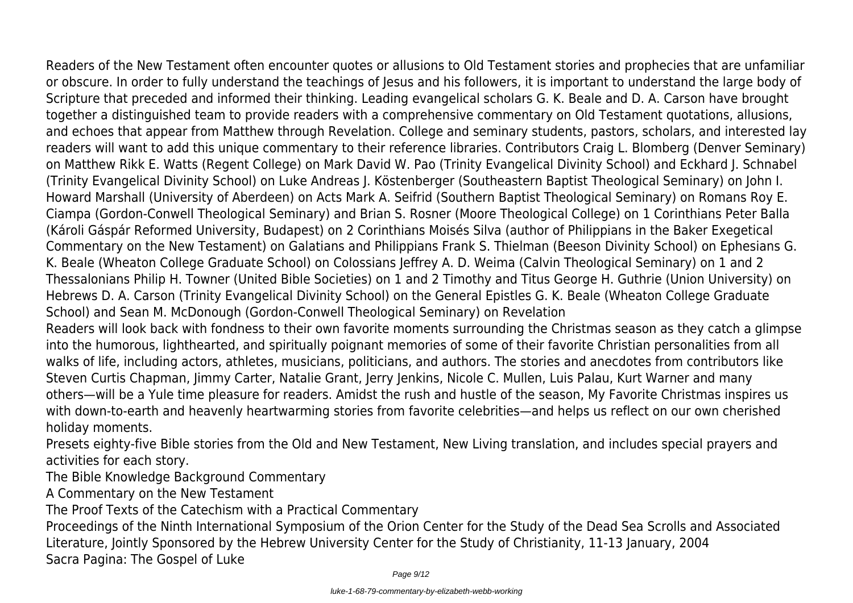Readers of the New Testament often encounter quotes or allusions to Old Testament stories and prophecies that are unfamiliar or obscure. In order to fully understand the teachings of Jesus and his followers, it is important to understand the large body of Scripture that preceded and informed their thinking. Leading evangelical scholars G. K. Beale and D. A. Carson have brought together a distinguished team to provide readers with a comprehensive commentary on Old Testament quotations, allusions, and echoes that appear from Matthew through Revelation. College and seminary students, pastors, scholars, and interested lay readers will want to add this unique commentary to their reference libraries. Contributors Craig L. Blomberg (Denver Seminary) on Matthew Rikk E. Watts (Regent College) on Mark David W. Pao (Trinity Evangelical Divinity School) and Eckhard J. Schnabel (Trinity Evangelical Divinity School) on Luke Andreas J. Köstenberger (Southeastern Baptist Theological Seminary) on John I. Howard Marshall (University of Aberdeen) on Acts Mark A. Seifrid (Southern Baptist Theological Seminary) on Romans Roy E. Ciampa (Gordon-Conwell Theological Seminary) and Brian S. Rosner (Moore Theological College) on 1 Corinthians Peter Balla (Károli Gáspár Reformed University, Budapest) on 2 Corinthians Moisés Silva (author of Philippians in the Baker Exegetical Commentary on the New Testament) on Galatians and Philippians Frank S. Thielman (Beeson Divinity School) on Ephesians G. K. Beale (Wheaton College Graduate School) on Colossians Jeffrey A. D. Weima (Calvin Theological Seminary) on 1 and 2 Thessalonians Philip H. Towner (United Bible Societies) on 1 and 2 Timothy and Titus George H. Guthrie (Union University) on Hebrews D. A. Carson (Trinity Evangelical Divinity School) on the General Epistles G. K. Beale (Wheaton College Graduate School) and Sean M. McDonough (Gordon-Conwell Theological Seminary) on Revelation

Readers will look back with fondness to their own favorite moments surrounding the Christmas season as they catch a glimpse into the humorous, lighthearted, and spiritually poignant memories of some of their favorite Christian personalities from all walks of life, including actors, athletes, musicians, politicians, and authors. The stories and anecdotes from contributors like Steven Curtis Chapman, Jimmy Carter, Natalie Grant, Jerry Jenkins, Nicole C. Mullen, Luis Palau, Kurt Warner and many others—will be a Yule time pleasure for readers. Amidst the rush and hustle of the season, My Favorite Christmas inspires us with down-to-earth and heavenly heartwarming stories from favorite celebrities—and helps us reflect on our own cherished holiday moments.

Presets eighty-five Bible stories from the Old and New Testament, New Living translation, and includes special prayers and activities for each story.

The Bible Knowledge Background Commentary

A Commentary on the New Testament

The Proof Texts of the Catechism with a Practical Commentary

Proceedings of the Ninth International Symposium of the Orion Center for the Study of the Dead Sea Scrolls and Associated Literature, Jointly Sponsored by the Hebrew University Center for the Study of Christianity, 11-13 January, 2004 Sacra Pagina: The Gospel of Luke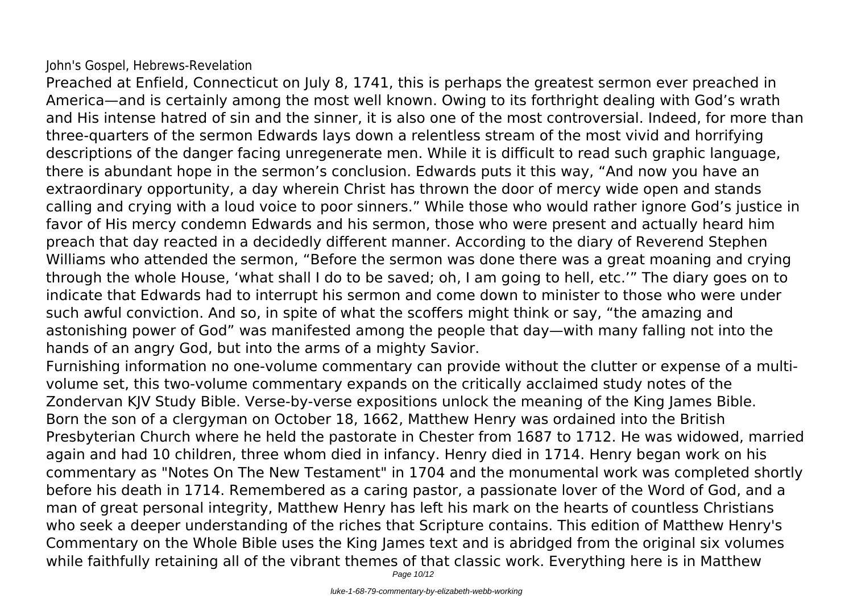# John's Gospel, Hebrews-Revelation

Preached at Enfield, Connecticut on July 8, 1741, this is perhaps the greatest sermon ever preached in America—and is certainly among the most well known. Owing to its forthright dealing with God's wrath and His intense hatred of sin and the sinner, it is also one of the most controversial. Indeed, for more than three-quarters of the sermon Edwards lays down a relentless stream of the most vivid and horrifying descriptions of the danger facing unregenerate men. While it is difficult to read such graphic language, there is abundant hope in the sermon's conclusion. Edwards puts it this way, "And now you have an extraordinary opportunity, a day wherein Christ has thrown the door of mercy wide open and stands calling and crying with a loud voice to poor sinners." While those who would rather ignore God's justice in favor of His mercy condemn Edwards and his sermon, those who were present and actually heard him preach that day reacted in a decidedly different manner. According to the diary of Reverend Stephen Williams who attended the sermon, "Before the sermon was done there was a great moaning and crying through the whole House, 'what shall I do to be saved; oh, I am going to hell, etc.'" The diary goes on to indicate that Edwards had to interrupt his sermon and come down to minister to those who were under such awful conviction. And so, in spite of what the scoffers might think or say, "the amazing and astonishing power of God" was manifested among the people that day—with many falling not into the hands of an angry God, but into the arms of a mighty Savior.

Furnishing information no one-volume commentary can provide without the clutter or expense of a multivolume set, this two-volume commentary expands on the critically acclaimed study notes of the Zondervan KJV Study Bible. Verse-by-verse expositions unlock the meaning of the King James Bible. Born the son of a clergyman on October 18, 1662, Matthew Henry was ordained into the British Presbyterian Church where he held the pastorate in Chester from 1687 to 1712. He was widowed, married again and had 10 children, three whom died in infancy. Henry died in 1714. Henry began work on his commentary as "Notes On The New Testament" in 1704 and the monumental work was completed shortly before his death in 1714. Remembered as a caring pastor, a passionate lover of the Word of God, and a man of great personal integrity, Matthew Henry has left his mark on the hearts of countless Christians who seek a deeper understanding of the riches that Scripture contains. This edition of Matthew Henry's Commentary on the Whole Bible uses the King James text and is abridged from the original six volumes while faithfully retaining all of the vibrant themes of that classic work. Everything here is in Matthew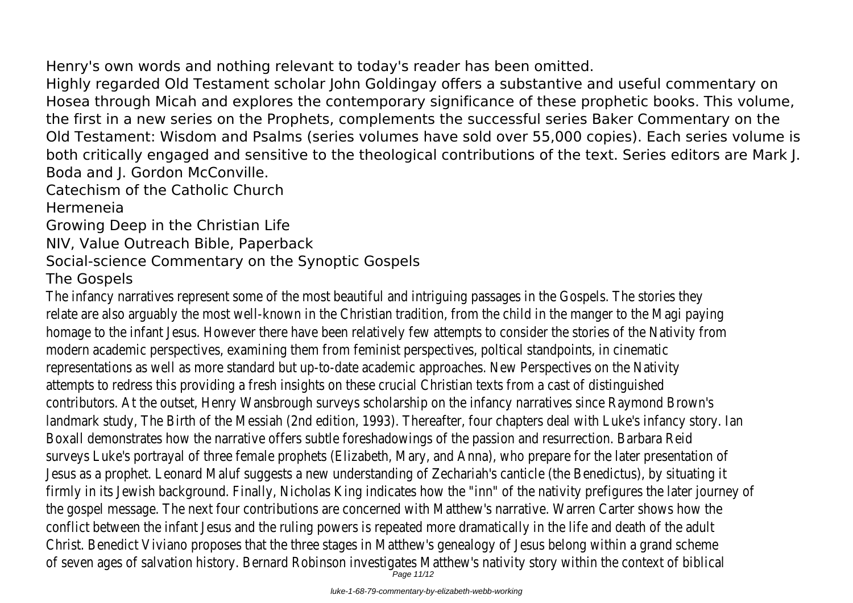Henry's own words and nothing relevant to today's reader has been omitted.

Highly regarded Old Testament scholar John Goldingay offers a substantive and useful commentary on Hosea through Micah and explores the contemporary significance of these prophetic books. This volume, the first in a new series on the Prophets, complements the successful series Baker Commentary on the Old Testament: Wisdom and Psalms (series volumes have sold over 55,000 copies). Each series volume is both critically engaged and sensitive to the theological contributions of the text. Series editors are Mark J. Boda and J. Gordon McConville.

Catechism of the Catholic Church Hermeneia

Growing Deep in the Christian Life

NIV, Value Outreach Bible, Paperback

# Social-science Commentary on the Synoptic Gospels

# The Gospels

The infancy narratives represent some of the most beautiful and intriguing passages in the Gospels. The stories they relate are also arguably the most well-known in the Christian tradition, from the child in the manger to the Magi paying homage to the infant Jesus. However there have been relatively few attempts to consider the stories of the Nativity from modern academic perspectives, examining them from feminist perspectives, poltical standpoints, in cinematic representations as well as more standard but up-to-date academic approaches. New Perspectives on the Nativity attempts to redress this providing a fresh insights on these crucial Christian texts from a cast of distinguished contributors. At the outset, Henry Wansbrough surveys scholarship on the infancy narratives since Raymond Brown's landmark study, The Birth of the Messiah (2nd edition, 1993). Thereafter, four chapters deal with Luke's infancy story. Ian Boxall demonstrates how the narrative offers subtle foreshadowings of the passion and resurrection. Barbara Reid surveys Luke's portrayal of three female prophets (Elizabeth, Mary, and Anna), who prepare for the later presentation of Jesus as a prophet. Leonard Maluf suggests a new understanding of Zechariah's canticle (the Benedictus), by situating it firmly in its Jewish background. Finally, Nicholas King indicates how the "inn" of the nativity prefigures the later journey of the gospel message. The next four contributions are concerned with Matthew's narrative. Warren Carter shows how the conflict between the infant Jesus and the ruling powers is repeated more dramatically in the life and death of the adult Christ. Benedict Viviano proposes that the three stages in Matthew's genealogy of Jesus belong within a grand scheme of seven ages of salvation history. Bernard Robinson investigates Matthew's nativity story within the context of biblical

Page 11/12